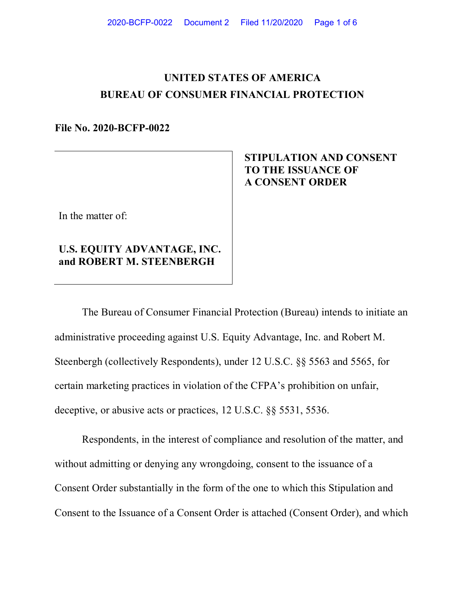# **UNITED STATES OF AMERICA BUREAU OF CONSUMER FINANCIAL PROTECTION**

### **File No. 2020-BCFP-0022**

#### In the matter of:

### **U.S. EQUITY ADVANTAGE, INC. and ROBERT M. STEENBERGH**

## **STIPULATION AND CONSENT TO THE ISSUANCE OF A CONSENT ORDER**

The Bureau of Consumer Financial Protection (Bureau) intends to initiate an administrative proceeding against U.S. Equity Advantage, Inc. and Robert M. Steenbergh (collectively Respondents), under 12 U.S.C. §§ 5563 and 5565, for certain marketing practices in violation of the CFPA's prohibition on unfair, deceptive, or abusive acts or practices, 12 U.S.C. §§ 5531, 5536.

Respondents, in the interest of compliance and resolution of the matter, and without admitting or denying any wrongdoing, consent to the issuance of a Consent Order substantially in the form of the one to which this Stipulation and Consent to the Issuance of a Consent Order is attached (Consent Order), and which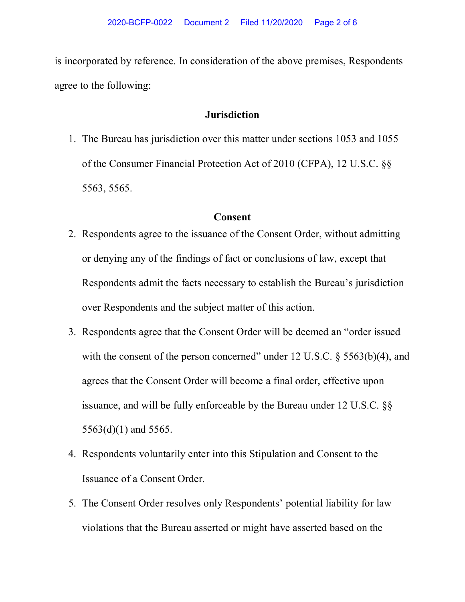is incorporated by reference. In consideration of the above premises, Respondents agree to the following:

### **Jurisdiction**

1. The Bureau has jurisdiction over this matter under sections 1053 and 1055 of the Consumer Financial Protection Act of 2010 (CFPA), 12 U.S.C. §§ 5563, 5565.

### **Consent**

- 2. Respondents agree to the issuance of the Consent Order, without admitting or denying any of the findings of fact or conclusions of law, except that Respondents admit the facts necessary to establish the Bureau's jurisdiction over Respondents and the subject matter of this action.
- 3. Respondents agree that the Consent Order will be deemed an "order issued with the consent of the person concerned" under 12 U.S.C.  $\S$  5563(b)(4), and agrees that the Consent Order will become a final order, effective upon issuance, and will be fully enforceable by the Bureau under 12 U.S.C. §§ 5563(d)(1) and 5565.
- 4. Respondents voluntarily enter into this Stipulation and Consent to the Issuance of a Consent Order.
- 5. The Consent Order resolves only Respondents' potential liability for law violations that the Bureau asserted or might have asserted based on the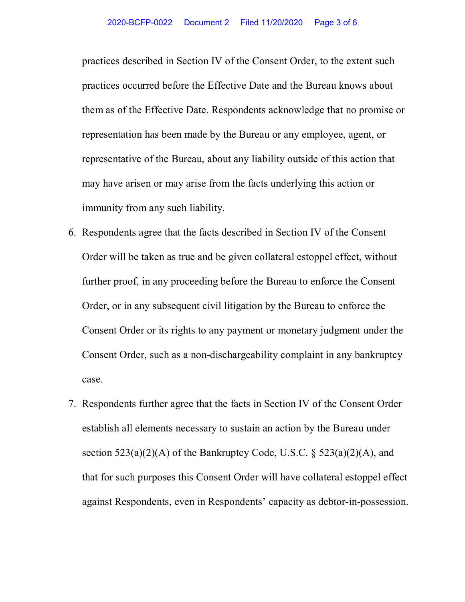practices described in Section IV of the Consent Order, to the extent such practices occurred before the Effective Date and the Bureau knows about them as of the Effective Date. Respondents acknowledge that no promise or representation has been made by the Bureau or any employee, agent, or representative of the Bureau, about any liability outside of this action that may have arisen or may arise from the facts underlying this action or immunity from any such liability.

- 6. Respondents agree that the facts described in Section IV of the Consent Order will be taken as true and be given collateral estoppel effect, without further proof, in any proceeding before the Bureau to enforce the Consent Order, or in any subsequent civil litigation by the Bureau to enforce the Consent Order or its rights to any payment or monetary judgment under the Consent Order, such as a non-dischargeability complaint in any bankruptcy case.
- 7. Respondents further agree that the facts in Section IV of the Consent Order establish all elements necessary to sustain an action by the Bureau under section  $523(a)(2)(A)$  of the Bankruptcy Code, U.S.C.  $\delta$  523(a)(2)(A), and that for such purposes this Consent Order will have collateral estoppel effect against Respondents, even in Respondents' capacity as debtor-in-possession.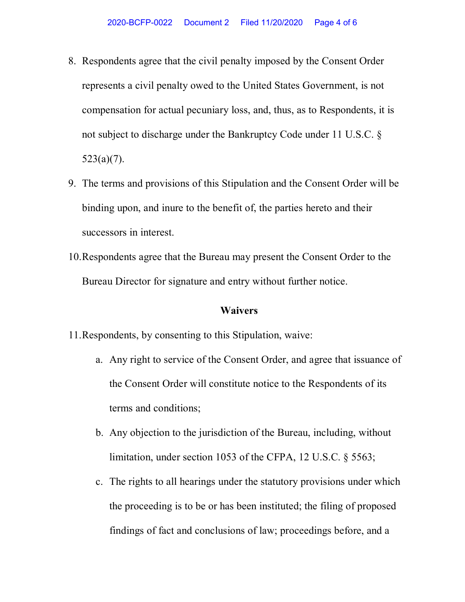- 8. Respondents agree that the civil penalty imposed by the Consent Order represents a civil penalty owed to the United States Government, is not compensation for actual pecuniary loss, and, thus, as to Respondents, it is not subject to discharge under the Bankruptcy Code under 11 U.S.C. §  $523(a)(7)$ .
- 9. The terms and provisions of this Stipulation and the Consent Order will be binding upon, and inure to the benefit of, the parties hereto and their successors in interest.
- 10.Respondents agree that the Bureau may present the Consent Order to the Bureau Director for signature and entry without further notice.

### **Waivers**

- 11.Respondents, by consenting to this Stipulation, waive:
	- a. Any right to service of the Consent Order, and agree that issuance of the Consent Order will constitute notice to the Respondents of its terms and conditions;
	- b. Any objection to the jurisdiction of the Bureau, including, without limitation, under section 1053 of the CFPA, 12 U.S.C. § 5563;
	- c. The rights to all hearings under the statutory provisions under which the proceeding is to be or has been instituted; the filing of proposed findings of fact and conclusions of law; proceedings before, and a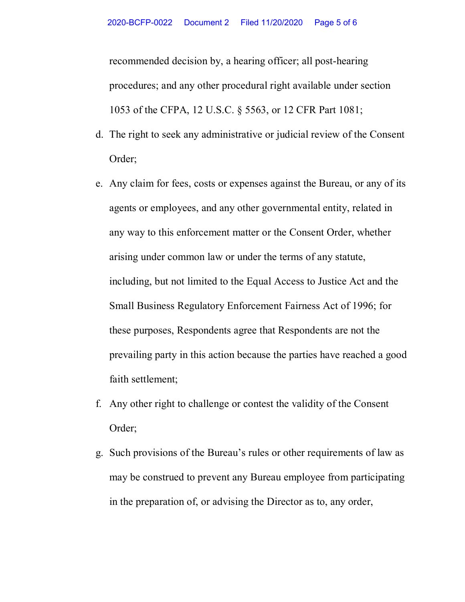recommended decision by, a hearing officer; all post-hearing procedures; and any other procedural right available under section 1053 of the CFPA, 12 U.S.C. § 5563, or 12 CFR Part 1081;

- d. The right to seek any administrative or judicial review of the Consent Order;
- e. Any claim for fees, costs or expenses against the Bureau, or any of its agents or employees, and any other governmental entity, related in any way to this enforcement matter or the Consent Order, whether arising under common law or under the terms of any statute, including, but not limited to the Equal Access to Justice Act and the Small Business Regulatory Enforcement Fairness Act of 1996; for these purposes, Respondents agree that Respondents are not the prevailing party in this action because the parties have reached a good faith settlement;
- f. Any other right to challenge or contest the validity of the Consent Order;
- g. Such provisions of the Bureau's rules or other requirements of law as may be construed to prevent any Bureau employee from participating in the preparation of, or advising the Director as to, any order,